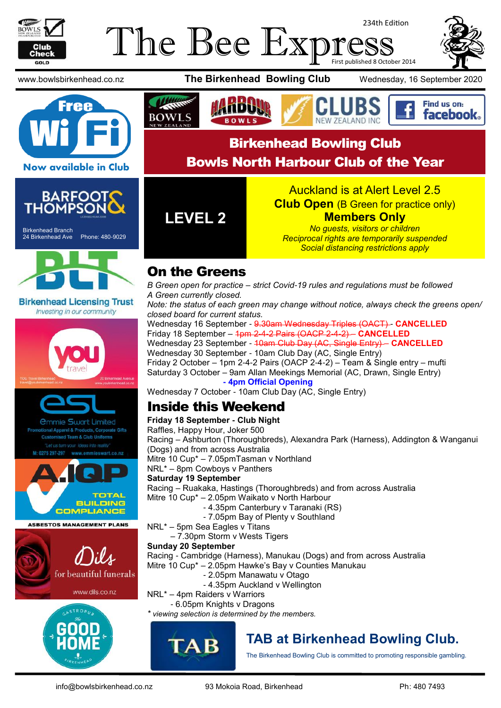

## The Bee Exp 234th Edition First published 8 October 2014





www.bowlsbirkenhead.co.nz **The Birkenhead Bowling Club** Wednesday, 16 September 2020





Find us on: facebook. W 7FAI AND INC Birkenhead Bowling Club

Bowls North Harbour Club of the Year

#### **Now available in Club**



Birkenhead Branch 24 Birkenhead Ave Phone: 480-9029



**Birkenhead Licensing Trust** Investing in our community



*<u>Ommie Swart Limited</u>* rel & Products, Corporate Gifts Team & Club Uniforms



**ASBESTOS MANAGEMENT PLANS** 







**LEVEL 2**

Auckland is at Alert Level 2.5 **Club Open** (B Green for practice only)

#### **Members Only**

*No guests, visitors or children Reciprocal rights are temporarily suspended Social distancing restrictions apply*

# On the Greens

*B Green open for practice – strict Covid-19 rules and regulations must be followed A Green currently closed.*

*Note: the status of each green may change without notice, always check the greens open/ closed board for current status.*

Wednesday 16 September - 9.30am Wednesday Triples (OACT) - **CANCELLED** Friday 18 September – 1pm 2-4-2 Pairs (OACP 2-4-2) – **CANCELLED** Wednesday 23 September - 10am Club Day (AC, Single Entry) – **CANCELLED** Wednesday 30 September - 10am Club Day (AC, Single Entry) Friday 2 October – 1pm 2-4-2 Pairs (OACP 2-4-2) – Team & Single entry – mufti Saturday 3 October – 9am Allan Meekings Memorial (AC, Drawn, Single Entry) **- 4pm Official Opening** 

Wednesday 7 October - 10am Club Day (AC, Single Entry)

# Inside this Weekend

#### **Friday 18 September - Club Night**

Raffles, Happy Hour, Joker 500 Racing – Ashburton (Thoroughbreds), Alexandra Park (Harness), Addington & Wanganui (Dogs) and from across Australia Mitre 10 Cup\* – 7.05pmTasman v Northland NRL\* – 8pm Cowboys v Panthers **Saturday 19 September** Racing – Ruakaka, Hastings (Thoroughbreds) and from across Australia Mitre 10 Cup\* – 2.05pm Waikato v North Harbour - 4.35pm Canterbury v Taranaki (RS) - 7.05pm Bay of Plenty v Southland NRL\* – 5pm Sea Eagles v Titans – 7.30pm Storm v Wests Tigers **Sunday 20 September** Racing - Cambridge (Harness), Manukau (Dogs) and from across Australia Mitre 10 Cup\* – 2.05pm Hawke's Bay v Counties Manukau - 2.05pm Manawatu v Otago - 4.35pm Auckland v Wellington NRL\* – 4pm Raiders v Warriors - 6.05pm Knights v Dragons *\* viewing selection is determined by the members.*



# **TAB at Birkenhead Bowling Club.**

The Birkenhead Bowling Club is committed to promoting responsible gambling.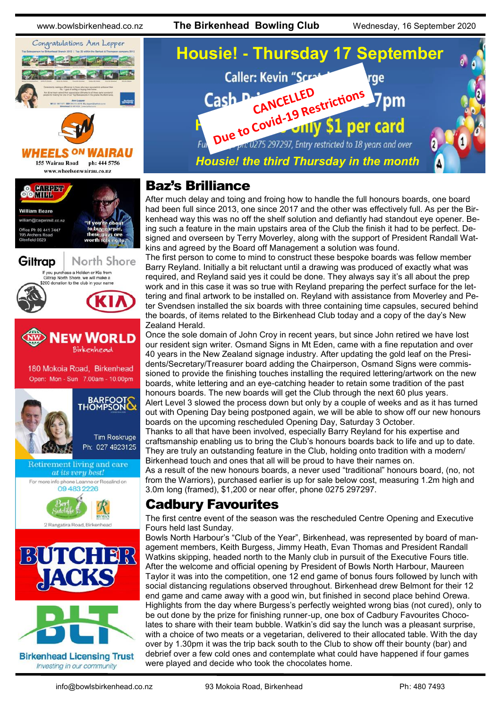www.bowlsbirkenhead.co.nz **The Birkenhead Bowling Club** Wednesday, 16 September 2020





155 Wairau Road ph: 444 5756

www.wheelsonwairau.co.nz









**Birkenhead Licensing Trust** Investing in our community



## Baz's Brilliance

After much delay and toing and froing how to handle the full honours boards, one board had been full since 2013, one since 2017 and the other was effectively full. As per the Birkenhead way this was no off the shelf solution and defiantly had standout eye opener. Being such a feature in the main upstairs area of the Club the finish it had to be perfect. Designed and overseen by Terry Moverley, along with the support of President Randall Watkins and agreed by the Board off Management a solution was found.

The first person to come to mind to construct these bespoke boards was fellow member Barry Reyland. Initially a bit reluctant until a drawing was produced of exactly what was required, and Reyland said yes it could be done. They always say it's all about the prep work and in this case it was so true with Reyland preparing the perfect surface for the lettering and final artwork to be installed on. Reyland with assistance from Moverley and Peter Svendsen installed the six boards with three containing time capsules, secured behind the boards, of items related to the Birkenhead Club today and a copy of the day's New Zealand Herald.

Once the sole domain of John Croy in recent years, but since John retired we have lost our resident sign writer. Osmand Signs in Mt Eden, came with a fine reputation and over 40 years in the New Zealand signage industry. After updating the gold leaf on the Presidents/Secretary/Treasurer board adding the Chairperson, Osmand Signs were commissioned to provide the finishing touches installing the required lettering/artwork on the new boards, white lettering and an eye-catching header to retain some tradition of the past honours boards. The new boards will get the Club through the next 60 plus years. Alert Level 3 slowed the process down but only by a couple of weeks and as it has turned out with Opening Day being postponed again, we will be able to show off our new honours

boards on the upcoming rescheduled Opening Day, Saturday 3 October. Thanks to all that have been involved, especially Barry Reyland for his expertise and craftsmanship enabling us to bring the Club's honours boards back to life and up to date. They are truly an outstanding feature in the Club, holding onto tradition with a modern/ Birkenhead touch and ones that all will be proud to have their names on.

As a result of the new honours boards, a never used "traditional" honours board, (no, not from the Warriors), purchased earlier is up for sale below cost, measuring 1.2m high and 3.0m long (framed), \$1,200 or near offer, phone 0275 297297.

## Cadbury Favourites

The first centre event of the season was the rescheduled Centre Opening and Executive Fours held last Sunday.

Bowls North Harbour's "Club of the Year", Birkenhead, was represented by board of management members, Keith Burgess, Jimmy Heath, Evan Thomas and President Randall Watkins skipping, headed north to the Manly club in pursuit of the Executive Fours title. After the welcome and official opening by President of Bowls North Harbour, Maureen Taylor it was into the competition, one 12 end game of bonus fours followed by lunch with social distancing regulations observed throughout. Birkenhead drew Belmont for their 12 end game and came away with a good win, but finished in second place behind Orewa. Highlights from the day where Burgess's perfectly weighted wrong bias (not cured), only to be out done by the prize for finishing runner-up, one box of Cadbury Favourites Chocolates to share with their team bubble. Watkin's did say the lunch was a pleasant surprise, with a choice of two meats or a vegetarian, delivered to their allocated table. With the day over by 1.30pm it was the trip back south to the Club to show off their bounty (bar) and debrief over a few cold ones and contemplate what could have happened if four games were played and decide who took the chocolates home.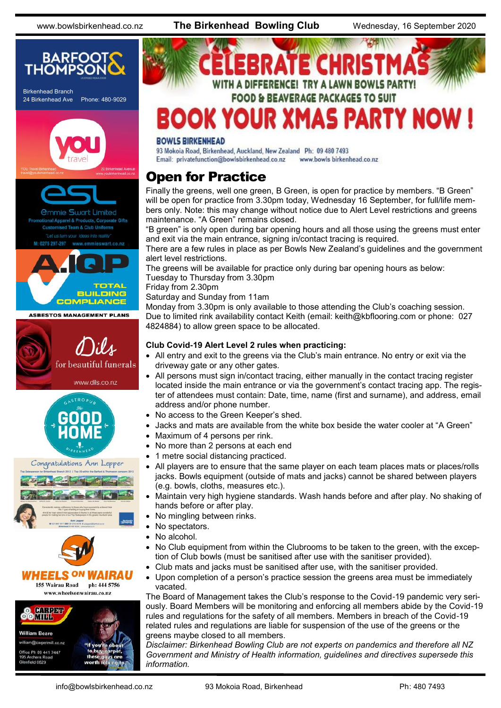www.bowlsbirkenhead.co.nz **The Birkenhead Bowling Club** Wednesday, 16 September 2020





#### **BOWLS BIRKENHEAD**

93 Mokoia Road, Birkenhead, Auckland, New Zealand Ph: 09 480 7493 Email: privatefunction@bowlsbirkenhead.co.nz www.bowls birkenhead.co.nz

#### Open for Practice

Finally the greens, well one green, B Green, is open for practice by members. "B Green" will be open for practice from 3.30pm today, Wednesday 16 September, for full/life members only. Note: this may change without notice due to Alert Level restrictions and greens maintenance. "A Green" remains closed.

"B green" is only open during bar opening hours and all those using the greens must enter and exit via the main entrance, signing in/contact tracing is required.

There are a few rules in place as per Bowls New Zealand's guidelines and the government alert level restrictions.

The greens will be available for practice only during bar opening hours as below: Tuesday to Thursday from 3.30pm

Friday from 2.30pm

Saturday and Sunday from 11am

Monday from 3.30pm is only available to those attending the Club's coaching session. Due to limited rink availability contact Keith (email: [keith@kbflooring.com o](mailto:keith@kbflooring.com)r phone: 027 4824884) to allow green space to be allocated.

#### **Club Covid-19 Alert Level 2 rules when practicing:**

- All entry and exit to the greens via the Club's main entrance. No entry or exit via the driveway gate or any other gates.
- All persons must sign in/contact tracing, either manually in the contact tracing register located inside the main entrance or via the government's contact tracing app. The register of attendees must contain: Date, time, name (first and surname), and address, email address and/or phone number.
- No access to the Green Keeper's shed.
- Jacks and mats are available from the white box beside the water cooler at "A Green"
- Maximum of 4 persons per rink.
- No more than 2 persons at each end
- 1 metre social distancing practiced.
- All players are to ensure that the same player on each team places mats or places/rolls jacks. Bowls equipment (outside of mats and jacks) cannot be shared between players (e.g. bowls, cloths, measures etc.).
- Maintain very high hygiene standards. Wash hands before and after play. No shaking of hands before or after play.
- No mingling between rinks.
- No spectators.
- No alcohol.
- No Club equipment from within the Clubrooms to be taken to the green, with the exception of Club bowls (must be sanitised after use with the sanitiser provided).
- Club mats and jacks must be sanitised after use, with the sanitiser provided.
- Upon completion of a person's practice session the greens area must be immediately vacated.

The Board of Management takes the Club's response to the Covid-19 pandemic very seriously. Board Members will be monitoring and enforcing all members abide by the Covid-19 rules and regulations for the safety of all members. Members in breach of the Covid-19 related rules and regulations are liable for suspension of the use of the greens or the greens maybe closed to all members.

*Disclaimer: Birkenhead Bowling Club are not experts on pandemics and therefore all NZ Government and Ministry of Health information, guidelines and directives supersede this information.*